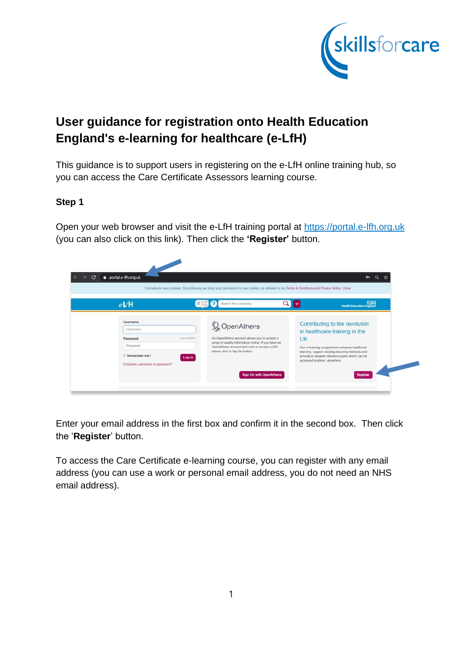

# **User guidance for registration onto Health Education England's e-learning for healthcare (e-LfH)**

This guidance is to support users in registering on the e-LfH online training hub, so you can access the Care Certificate Assessors learning course.

# **Step 1**

Open your web browser and visit the e-LfH training portal at [https://portal.e-lfh.org.uk](https://portal.e-lfh.org.uk/) (you can also click on this link). Then click the **'Register'** button.

| eVH                             | ×<br>Search the e-learning                                                                         | <b>MES</b><br>Health Education England                                                             |
|---------------------------------|----------------------------------------------------------------------------------------------------|----------------------------------------------------------------------------------------------------|
| Username                        |                                                                                                    | Contributing to the revolution                                                                     |
| Usemame                         | WopenAthens                                                                                        | in healthcare training in the                                                                      |
| Password<br>case sensitive      | An OpenAthens account allows you to access a                                                       | <b>UK</b>                                                                                          |
| Password                        | range of quality information online. If you have an<br>OpenAthens account and wish to access e-LfH | Our e-learning programmes enhance traditional                                                      |
| Remember me?<br>Log in          | please click or tap the button.                                                                    | learning, support existing teaching methods and<br>provide a valuable reference point which can be |
| Forgotten username or password? |                                                                                                    | accessed anytime, anywhere.                                                                        |

Enter your email address in the first box and confirm it in the second box. Then click the '**Register**' button.

To access the Care Certificate e-learning course, you can register with any email address (you can use a work or personal email address, you do not need an NHS email address).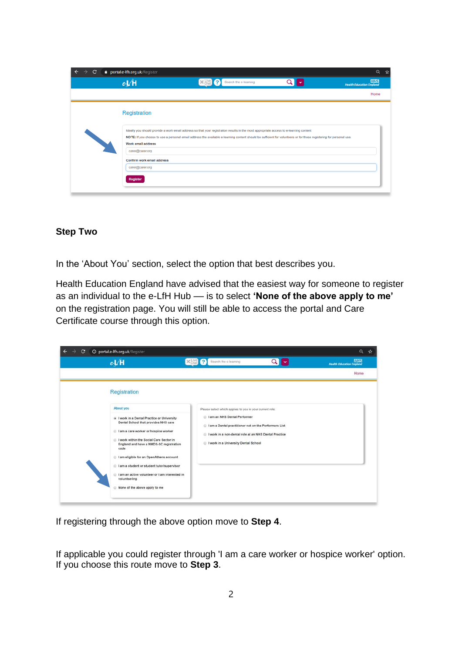| C<br>$\rightarrow$ | portal.e-lfh.org.uk/Register<br>eL/H  | $\times$ Live ?<br>Search the e-learning                                                                                                                                                                                                                                                                      | Q<br><b>NHS</b><br>Health Education England |
|--------------------|---------------------------------------|---------------------------------------------------------------------------------------------------------------------------------------------------------------------------------------------------------------------------------------------------------------------------------------------------------------|---------------------------------------------|
|                    |                                       |                                                                                                                                                                                                                                                                                                               | Home                                        |
|                    | Registration                          |                                                                                                                                                                                                                                                                                                               |                                             |
|                    |                                       |                                                                                                                                                                                                                                                                                                               |                                             |
|                    |                                       | Ideally you should provide a work email address so that your registration results in the most appropriate access to e-learning content<br>NOTE: If you choose to use a personal email address the available e-learning content should be sufficient for volunteers or for those registering for personal use. |                                             |
|                    | Work email address<br>carer@carer.org |                                                                                                                                                                                                                                                                                                               |                                             |
|                    | Confirm work email address            |                                                                                                                                                                                                                                                                                                               |                                             |
|                    | caren@carer.org                       |                                                                                                                                                                                                                                                                                                               |                                             |
|                    | Register                              |                                                                                                                                                                                                                                                                                                               |                                             |

#### **Step Two**

In the 'About You' section, select the option that best describes you.

Health Education England have advised that the easiest way for someone to register as an individual to the e-LfH Hub - is to select 'None of the above apply to me' on the registration page. You will still be able to access the portal and Care Certificate course through this option.

| c | <b>O portal.e-Ifh.org.uk/Register</b><br>eVH                                                                                                                                                                                                                                                                                                                                                                                       | $\times$ $\frac{1}{2}$ $\frac{1}{2}$ | Search the e-learning                                                                                                                                                                                                                             | Q<br>$\checkmark$ | Q<br><b>NHS</b><br><b>Health Education England</b> |
|---|------------------------------------------------------------------------------------------------------------------------------------------------------------------------------------------------------------------------------------------------------------------------------------------------------------------------------------------------------------------------------------------------------------------------------------|--------------------------------------|---------------------------------------------------------------------------------------------------------------------------------------------------------------------------------------------------------------------------------------------------|-------------------|----------------------------------------------------|
|   | Registration                                                                                                                                                                                                                                                                                                                                                                                                                       |                                      |                                                                                                                                                                                                                                                   |                   | Home                                               |
|   | About you<br>a I work in a Dental Practice or University<br>Dental School that provides NHS care<br>I am a care worker or hospice worker<br>I work within the Social Care Sector in<br>England and have a NMDS-SC registration<br>code<br>I am eligible for an OpenAthens account<br>I am a student or student tutor/supervisor<br>I am an active volunteer or I am interested in<br>volunteering<br>None of the above apply to me |                                      | Please select which applies to you in your current role:<br>lam an NHS Dental Performer<br>I am a Dental practitioner not on the Performers List<br>I work in a non-dental role at an NHS Dental Practice<br>I work in a University Dental School |                   |                                                    |

If registering through the above option move to **Step 4**.

If applicable you could register through 'I am a care worker or hospice worker' option. If you choose this route move to **Step 3**.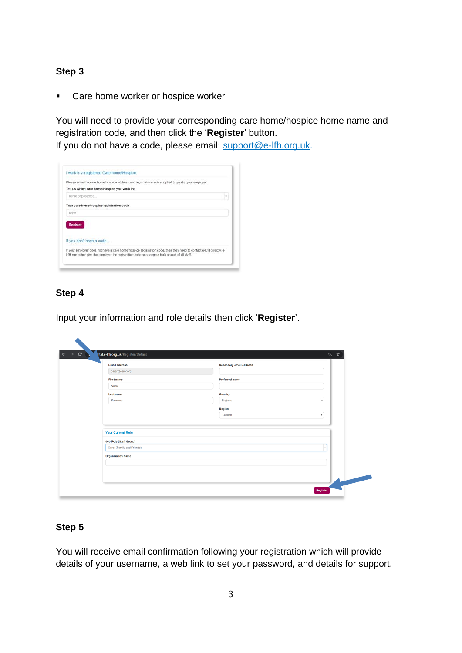## **Step 3**

■ Care home worker or hospice worker

You will need to provide your corresponding care home/hospice home name and registration code, and then click the '**Register**' button.

If you do not have a code, please email: support@e-lfh.org.uk.



# **Step 4**

 $\blacktriangle$ 

Input your information and role details then click '**Register**'.

| <b>Email address</b><br>caren@carer.org            | Secondary email address |              |
|----------------------------------------------------|-------------------------|--------------|
| First name                                         | Preferred name          |              |
| Name                                               |                         |              |
| Last name                                          | Country                 |              |
| Surname                                            | England                 | $\mathbf{v}$ |
|                                                    | Region                  |              |
|                                                    | London                  | ۰            |
| <b>Your Current Role</b><br>Job Role (Staff Group) |                         |              |
| Carer (Family and Friends)                         |                         | ×            |
| <b>Organisation Name</b>                           |                         |              |
|                                                    |                         |              |
|                                                    |                         |              |

### **Step 5**

You will receive email confirmation following your registration which will provide details of your username, a web link to set your password, and details for support.